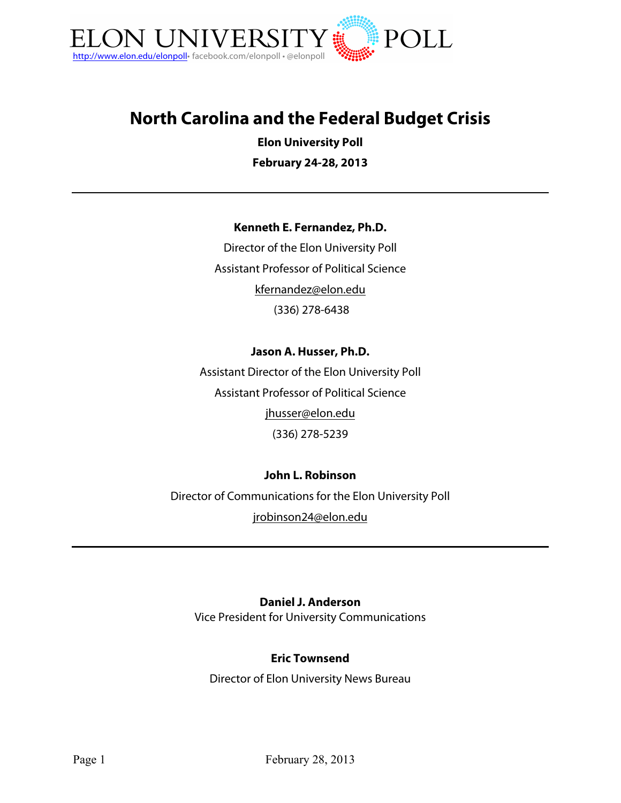

# **North Carolina and the Federal Budget Crisis**

**Elon University Poll**

**February 24-28, 2013**

#### **Kenneth E. Fernandez, Ph.D.**

Director of the Elon University Poll Assistant Professor of Political Science kfernandez@elon.edu (336) 278-6438

## **Jason A. Husser, Ph.D.**

Assistant Director of the Elon University Poll Assistant Professor of Political Science jhusser@elon.edu (336) 278-5239

#### **John L. Robinson**

Director of Communications for the Elon University Poll jrobinson24@elon.edu

#### **Daniel J. Anderson**

Vice President for University Communications

#### **Eric Townsend**

Director of Elon University News Bureau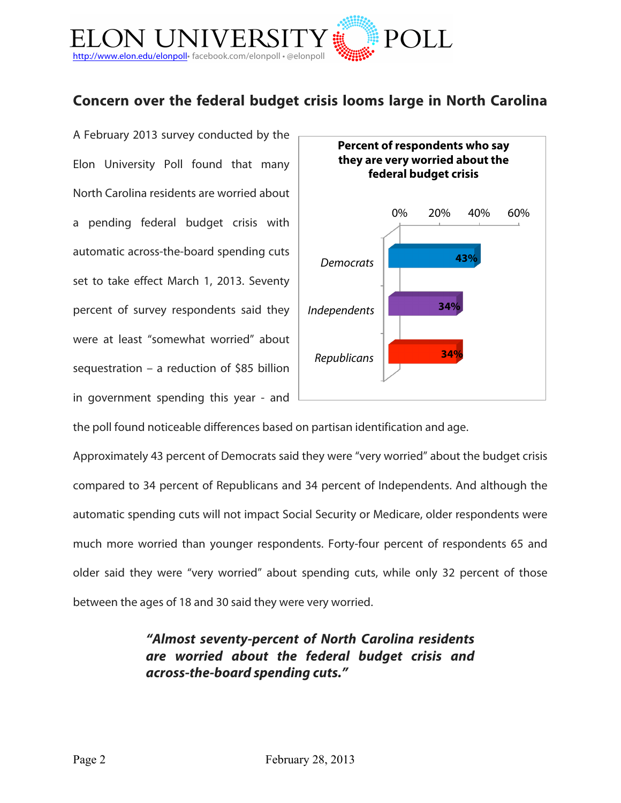

# **Concern over the federal budget crisis looms large in North Carolina**

A February 2013 survey conducted by the Elon University Poll found that many North Carolina residents are worried about a pending federal budget crisis with automatic across-the-board spending cuts set to take effect March 1, 2013. Seventy percent of survey respondents said they were at least "somewhat worried" about sequestration – a reduction of \$85 billion in government spending this year - and



the poll found noticeable differences based on partisan identification and age.

Approximately 43 percent of Democrats said they were "very worried" about the budget crisis compared to 34 percent of Republicans and 34 percent of Independents. And although the automatic spending cuts will not impact Social Security or Medicare, older respondents were much more worried than younger respondents. Forty-four percent of respondents 65 and older said they were "very worried" about spending cuts, while only 32 percent of those between the ages of 18 and 30 said they were very worried.

> *"Almost seventy-percent of North Carolina residents are worried about the federal budget crisis and across-the-board spending cuts."*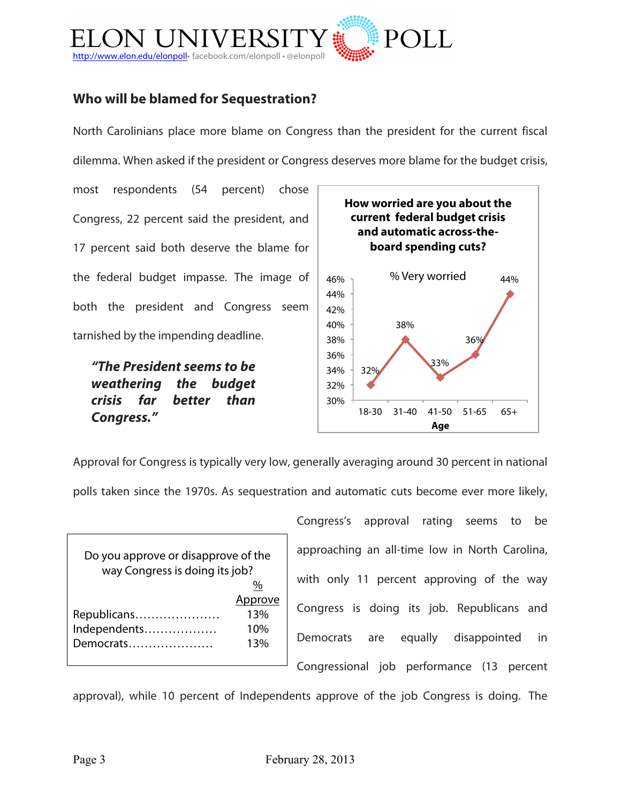

# **Who will be blamed for Sequestration?**

North Carolinians place more blame on Congress than the president for the current fiscal dilemma. When asked if the president or Congress deserves more blame for the budget crisis,

most respondents (54 percent) chose Congress, 22 percent said the president, and 17 percent said both deserve the blame for the federal budget impasse. The image of both the president and Congress seem tarnished by the impending deadline.

*"The President seems to be weathering the budget crisis far better than Congress."*



Approval for Congress is typically very low, generally averaging around 30 percent in national

polls taken since the 1970s. As sequestration and automatic cuts become ever more likely,

| Do you approve or disapprove of the<br>way Congress is doing its job? |         |
|-----------------------------------------------------------------------|---------|
|                                                                       | %       |
|                                                                       | Approve |
| Republicans                                                           | 13%     |
| Independents                                                          | 10%     |
| Democrats                                                             | 13%     |
|                                                                       |         |

Congress's approval rating seems to be approaching an all-time low in North Carolina, with only 11 percent approving of the way Congress is doing its job. Republicans and Democrats are equally disappointed in Congressional job performance (13 percent

approval), while 10 percent of Independents approve of the job Congress is doing. The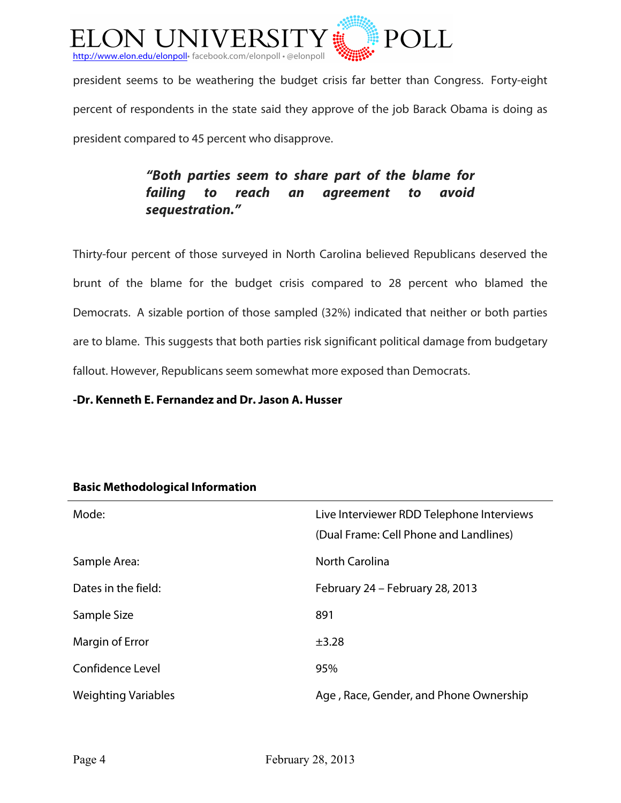

president seems to be weathering the budget crisis far better than Congress. Forty-eight percent of respondents in the state said they approve of the job Barack Obama is doing as president compared to 45 percent who disapprove.

# *"Both parties seem to share part of the blame for failing to reach an agreement to avoid sequestration."*

Thirty-four percent of those surveyed in North Carolina believed Republicans deserved the brunt of the blame for the budget crisis compared to 28 percent who blamed the Democrats. A sizable portion of those sampled (32%) indicated that neither or both parties are to blame. This suggests that both parties risk significant political damage from budgetary fallout. However, Republicans seem somewhat more exposed than Democrats.

**-Dr. Kenneth E. Fernandez and Dr. Jason A. Husser**

| Mode:                      | Live Interviewer RDD Telephone Interviews<br>(Dual Frame: Cell Phone and Landlines) |
|----------------------------|-------------------------------------------------------------------------------------|
| Sample Area:               | <b>North Carolina</b>                                                               |
| Dates in the field:        | February 24 - February 28, 2013                                                     |
| Sample Size                | 891                                                                                 |
| Margin of Error            | $\pm$ 3.28                                                                          |
| Confidence Level           | 95%                                                                                 |
| <b>Weighting Variables</b> | Age, Race, Gender, and Phone Ownership                                              |

# **Basic Methodological Information**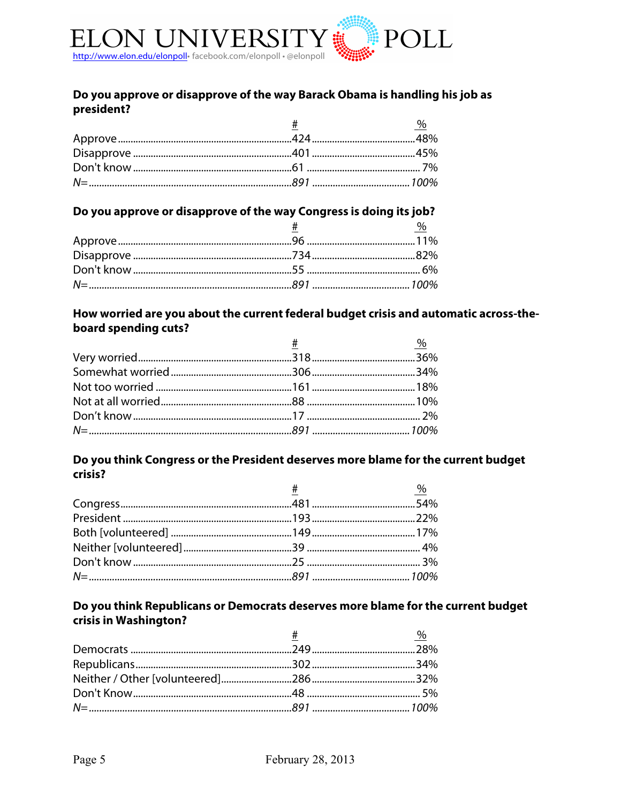

### Do you approve or disapprove of the way Barack Obama is handling his job as president?

|  | $\%$ |
|--|------|
|  |      |
|  |      |
|  |      |
|  |      |

## Do you approve or disapprove of the way Congress is doing its job?

|  | $\%$ |
|--|------|
|  |      |
|  |      |
|  |      |
|  |      |
|  |      |

### How worried are you about the current federal budget crisis and automatic across-theboard spending cuts?

| $#$ $\%$ |
|----------|
|          |
|          |
|          |
|          |
|          |
|          |
|          |

#### Do you think Congress or the President deserves more blame for the current budget crisis?

| $\frac{\#}{4}$ and $\frac{96}{4}$ |  |
|-----------------------------------|--|
|                                   |  |
|                                   |  |
|                                   |  |
|                                   |  |
|                                   |  |
|                                   |  |

### Do you think Republicans or Democrats deserves more blame for the current budget crisis in Washington?

| $\#$ and $\#$ and $\#$ and $\#$ | $\%$ |
|---------------------------------|------|
|                                 |      |
|                                 |      |
|                                 |      |
|                                 |      |
|                                 |      |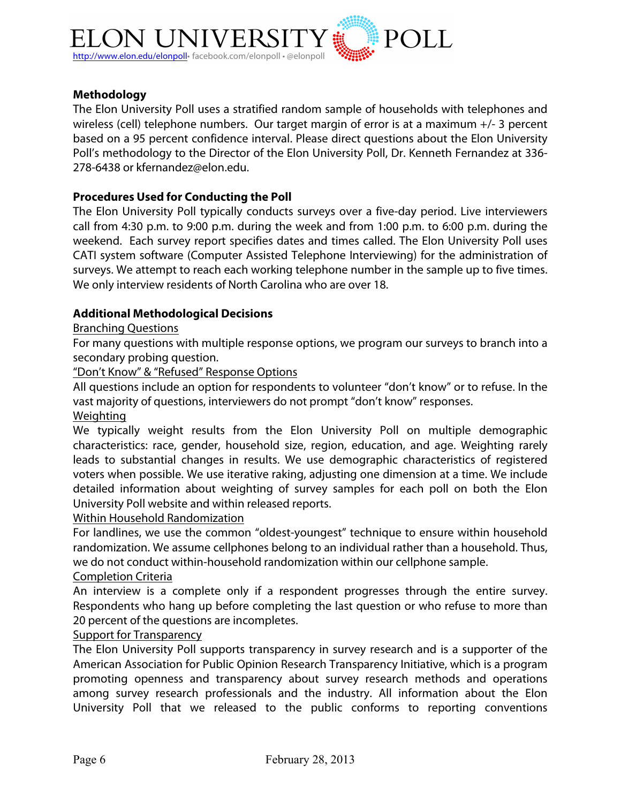

#### **Methodology**

The Elon University Poll uses a stratified random sample of households with telephones and wireless (cell) telephone numbers. Our target margin of error is at a maximum +/- 3 percent based on a 95 percent confidence interval. Please direct questions about the Elon University Poll's methodology to the Director of the Elon University Poll, Dr. Kenneth Fernandez at 336- 278-6438 or kfernandez@elon.edu.

#### **Procedures Used for Conducting the Poll**

The Elon University Poll typically conducts surveys over a five-day period. Live interviewers call from 4:30 p.m. to 9:00 p.m. during the week and from 1:00 p.m. to 6:00 p.m. during the weekend. Each survey report specifies dates and times called. The Elon University Poll uses CATI system software (Computer Assisted Telephone Interviewing) for the administration of surveys. We attempt to reach each working telephone number in the sample up to five times. We only interview residents of North Carolina who are over 18.

#### **Additional Methodological Decisions**

#### Branching Questions

For many questions with multiple response options, we program our surveys to branch into a secondary probing question.

"Don't Know" & "Refused" Response Options

All questions include an option for respondents to volunteer "don't know" or to refuse. In the vast majority of questions, interviewers do not prompt "don't know" responses.

Weighting

We typically weight results from the Elon University Poll on multiple demographic characteristics: race, gender, household size, region, education, and age. Weighting rarely leads to substantial changes in results. We use demographic characteristics of registered voters when possible. We use iterative raking, adjusting one dimension at a time. We include detailed information about weighting of survey samples for each poll on both the Elon University Poll website and within released reports.

Within Household Randomization

For landlines, we use the common "oldest-youngest" technique to ensure within household randomization. We assume cellphones belong to an individual rather than a household. Thus, we do not conduct within-household randomization within our cellphone sample.

#### Completion Criteria

An interview is a complete only if a respondent progresses through the entire survey. Respondents who hang up before completing the last question or who refuse to more than 20 percent of the questions are incompletes.

#### Support for Transparency

The Elon University Poll supports transparency in survey research and is a supporter of the American Association for Public Opinion Research Transparency Initiative, which is a program promoting openness and transparency about survey research methods and operations among survey research professionals and the industry. All information about the Elon University Poll that we released to the public conforms to reporting conventions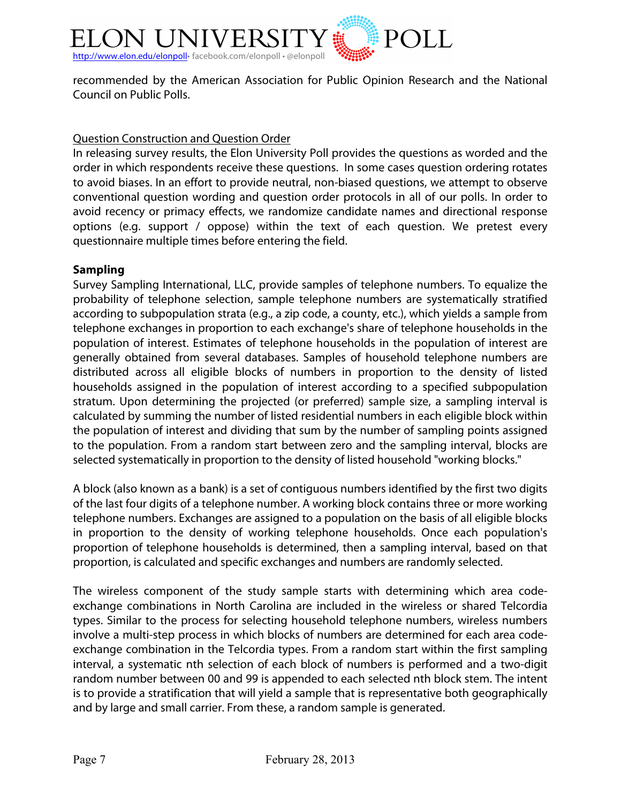

recommended by the American Association for Public Opinion Research and the National Council on Public Polls.

### Question Construction and Question Order

In releasing survey results, the Elon University Poll provides the questions as worded and the order in which respondents receive these questions. In some cases question ordering rotates to avoid biases. In an effort to provide neutral, non-biased questions, we attempt to observe conventional question wording and question order protocols in all of our polls. In order to avoid recency or primacy effects, we randomize candidate names and directional response options (e.g. support / oppose) within the text of each question. We pretest every questionnaire multiple times before entering the field.

## **Sampling**

Survey Sampling International, LLC, provide samples of telephone numbers. To equalize the probability of telephone selection, sample telephone numbers are systematically stratified according to subpopulation strata (e.g., a zip code, a county, etc.), which yields a sample from telephone exchanges in proportion to each exchange's share of telephone households in the population of interest. Estimates of telephone households in the population of interest are generally obtained from several databases. Samples of household telephone numbers are distributed across all eligible blocks of numbers in proportion to the density of listed households assigned in the population of interest according to a specified subpopulation stratum. Upon determining the projected (or preferred) sample size, a sampling interval is calculated by summing the number of listed residential numbers in each eligible block within the population of interest and dividing that sum by the number of sampling points assigned to the population. From a random start between zero and the sampling interval, blocks are selected systematically in proportion to the density of listed household "working blocks."

A block (also known as a bank) is a set of contiguous numbers identified by the first two digits of the last four digits of a telephone number. A working block contains three or more working telephone numbers. Exchanges are assigned to a population on the basis of all eligible blocks in proportion to the density of working telephone households. Once each population's proportion of telephone households is determined, then a sampling interval, based on that proportion, is calculated and specific exchanges and numbers are randomly selected.

The wireless component of the study sample starts with determining which area codeexchange combinations in North Carolina are included in the wireless or shared Telcordia types. Similar to the process for selecting household telephone numbers, wireless numbers involve a multi-step process in which blocks of numbers are determined for each area codeexchange combination in the Telcordia types. From a random start within the first sampling interval, a systematic nth selection of each block of numbers is performed and a two-digit random number between 00 and 99 is appended to each selected nth block stem. The intent is to provide a stratification that will yield a sample that is representative both geographically and by large and small carrier. From these, a random sample is generated.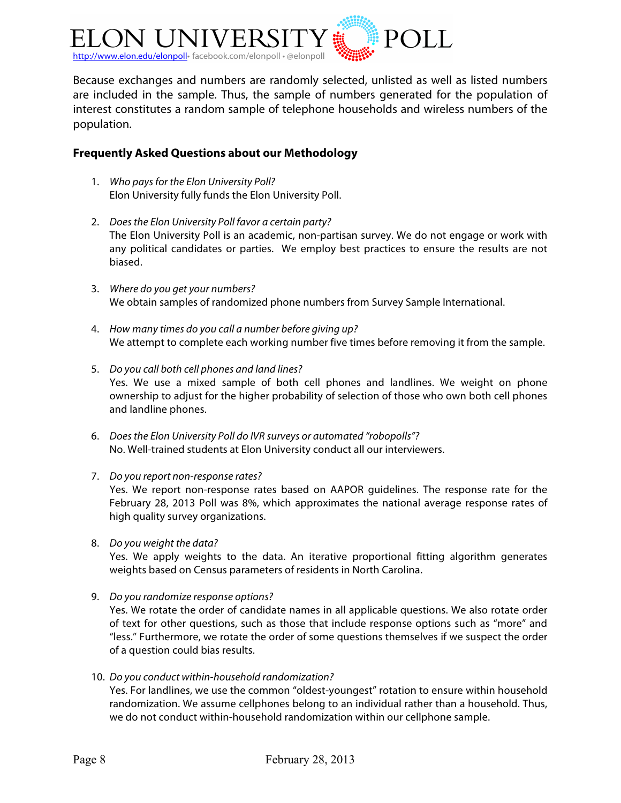

Because exchanges and numbers are randomly selected, unlisted as well as listed numbers are included in the sample. Thus, the sample of numbers generated for the population of interest constitutes a random sample of telephone households and wireless numbers of the population.

#### **Frequently Asked Questions about our Methodology**

- 1. *Who pays for the Elon University Poll?* Elon University fully funds the Elon University Poll.
- 2. *Does the Elon University Poll favor a certain party?* The Elon University Poll is an academic, non-partisan survey. We do not engage or work with any political candidates or parties. We employ best practices to ensure the results are not biased.
- 3. *Where do you get your numbers?* We obtain samples of randomized phone numbers from Survey Sample International.
- 4. *How many times do you call a number before giving up?* We attempt to complete each working number five times before removing it from the sample.
- 5. *Do you call both cell phones and land lines?* Yes. We use a mixed sample of both cell phones and landlines. We weight on phone ownership to adjust for the higher probability of selection of those who own both cell phones and landline phones.
- 6. *Does the Elon University Poll do IVR surveys or automated "robopolls"?* No. Well-trained students at Elon University conduct all our interviewers.
- 7. *Do you report non-response rates?*

Yes. We report non-response rates based on AAPOR guidelines. The response rate for the February 28, 2013 Poll was 8%, which approximates the national average response rates of high quality survey organizations.

8. *Do you weight the data?*

Yes. We apply weights to the data. An iterative proportional fitting algorithm generates weights based on Census parameters of residents in North Carolina.

9. *Do you randomize response options?*

Yes. We rotate the order of candidate names in all applicable questions. We also rotate order of text for other questions, such as those that include response options such as "more" and "less." Furthermore, we rotate the order of some questions themselves if we suspect the order of a question could bias results.

10. *Do you conduct within-household randomization?*

Yes. For landlines, we use the common "oldest-youngest" rotation to ensure within household randomization. We assume cellphones belong to an individual rather than a household. Thus, we do not conduct within-household randomization within our cellphone sample.